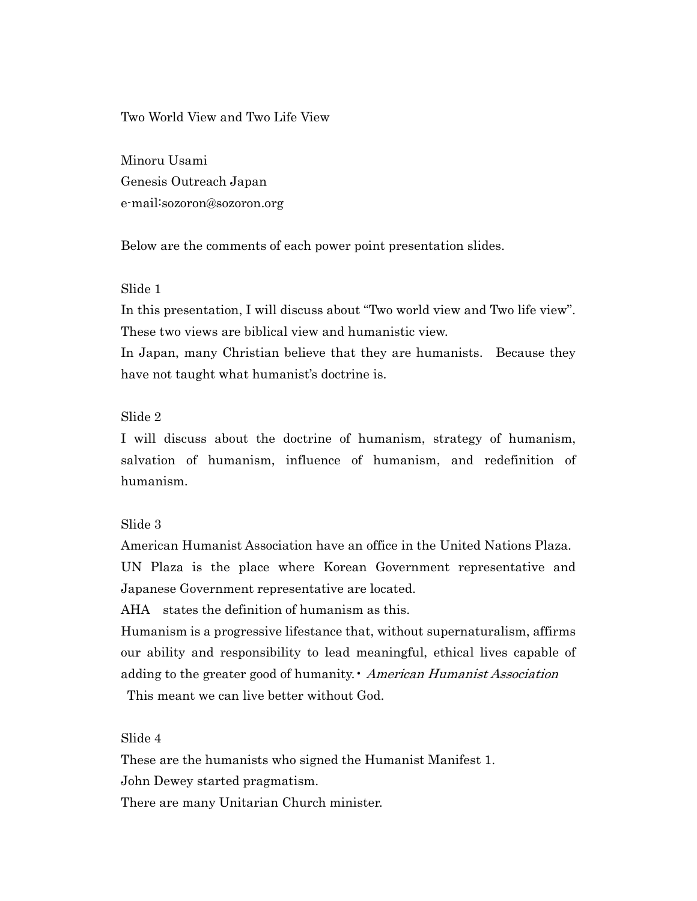### Two World View and Two Life View

Minoru Usami Genesis Outreach Japan e-mail:sozoron@sozoron.org

Below are the comments of each power point presentation slides.

#### Slide 1

In this presentation, I will discuss about "Two world view and Two life view". These two views are biblical view and humanistic view.

In Japan, many Christian believe that they are humanists. Because they have not taught what humanist's doctrine is.

# Slide 2

I will discuss about the doctrine of humanism, strategy of humanism, salvation of humanism, influence of humanism, and redefinition of humanism.

#### Slide 3

American Humanist Association have an office in the United Nations Plaza. UN Plaza is the place where Korean Government representative and Japanese Government representative are located.

AHA states the definition of humanism as this.

Humanism is a progressive lifestance that, without supernaturalism, affirms our ability and responsibility to lead meaningful, ethical lives capable of adding to the greater good of humanity. American Humanist Association This meant we can live better without God.

# Slide 4

These are the humanists who signed the Humanist Manifest 1.

John Dewey started pragmatism.

There are many Unitarian Church minister.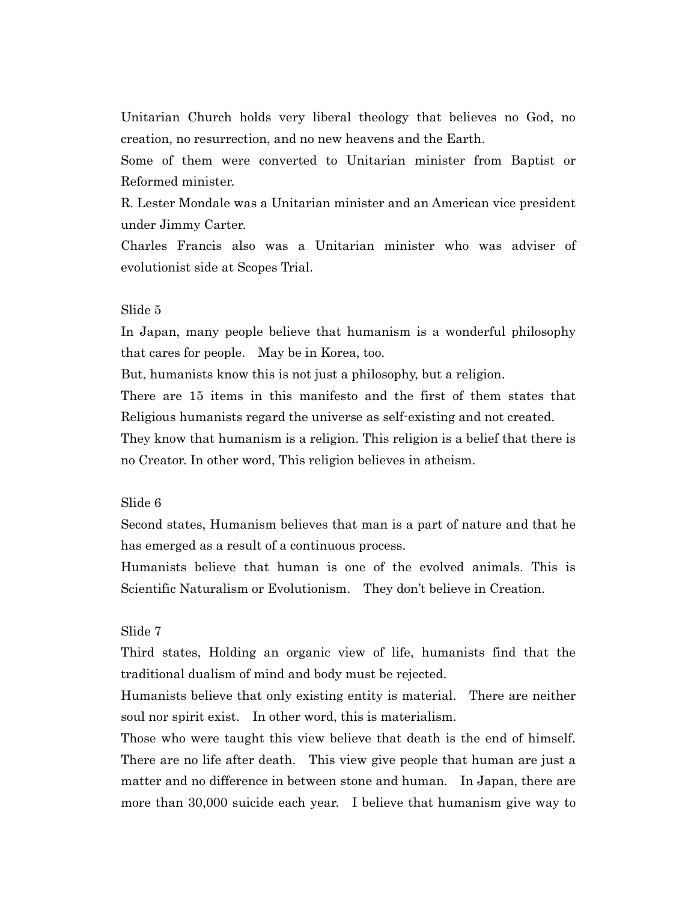Unitarian Church holds very liberal theology that believes no God, no creation, no resurrection, and no new heavens and the Earth.

Some of them were converted to Unitarian minister from Baptist or Reformed minister.

R. Lester Mondale was a Unitarian minister and an American vice president under Jimmy Carter.

Charles Francis also was a Unitarian minister who was adviser of evolutionist side at Scopes Trial.

#### Slide 5

In Japan, many people believe that humanism is a wonderful philosophy that cares for people. May be in Korea, too.

But, humanists know this is not just a philosophy, but a religion.

There are 15 items in this manifesto and the first of them states that Religious humanists regard the universe as self-existing and not created.

They know that humanism is a religion. This religion is a belief that there is no Creator. In other word, This religion believes in atheism.

## Slide 6

Second states, Humanism believes that man is a part of nature and that he has emerged as a result of a continuous process.

Humanists believe that human is one of the evolved animals. This is Scientific Naturalism or Evolutionism. They don't believe in Creation.

#### Slide 7

Third states, Holding an organic view of life, humanists find that the traditional dualism of mind and body must be rejected.

Humanists believe that only existing entity is material. There are neither soul nor spirit exist. In other word, this is materialism.

Those who were taught this view believe that death is the end of himself. There are no life after death. This view give people that human are just a matter and no difference in between stone and human. In Japan, there are more than 30,000 suicide each year. I believe that humanism give way to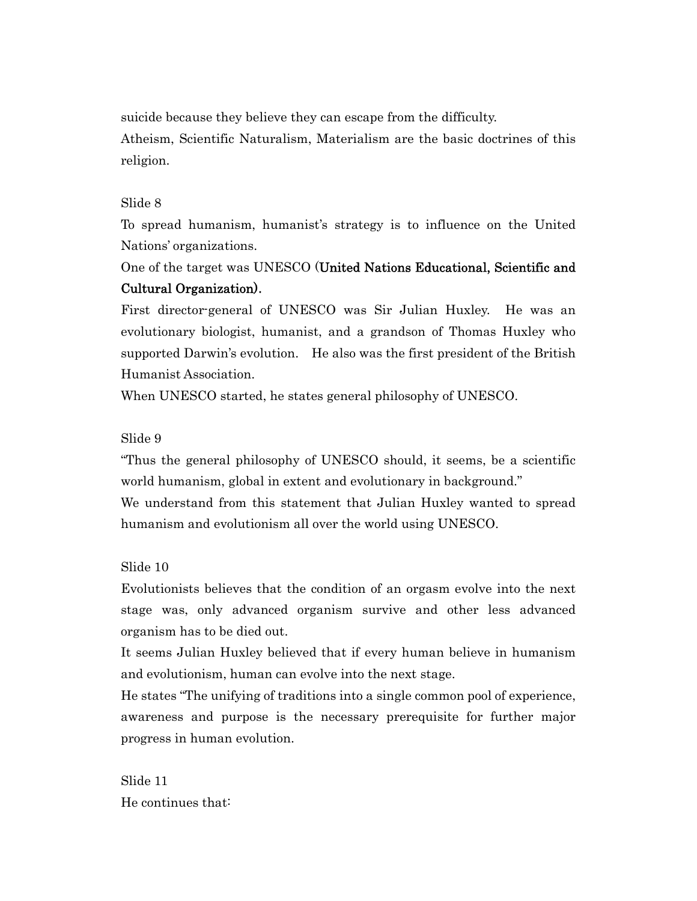suicide because they believe they can escape from the difficulty.

Atheism, Scientific Naturalism, Materialism are the basic doctrines of this religion.

# Slide 8

To spread humanism, humanist's strategy is to influence on the United Nations' organizations.

# One of the target was UNESCO (United Nations Educational, Scientific and Cultural Organization).

First director-general of UNESCO was Sir Julian Huxley. He was an evolutionary biologist, humanist, and a grandson of Thomas Huxley who supported Darwin's evolution. He also was the first president of the British Humanist Association.

When UNESCO started, he states general philosophy of UNESCO.

# Slide 9

"Thus the general philosophy of UNESCO should, it seems, be a scientific world humanism, global in extent and evolutionary in background."

We understand from this statement that Julian Huxley wanted to spread humanism and evolutionism all over the world using UNESCO.

Slide 10

Evolutionists believes that the condition of an orgasm evolve into the next stage was, only advanced organism survive and other less advanced organism has to be died out.

It seems Julian Huxley believed that if every human believe in humanism and evolutionism, human can evolve into the next stage.

He states "The unifying of traditions into a single common pool of experience, awareness and purpose is the necessary prerequisite for further major progress in human evolution.

Slide 11 He continues that: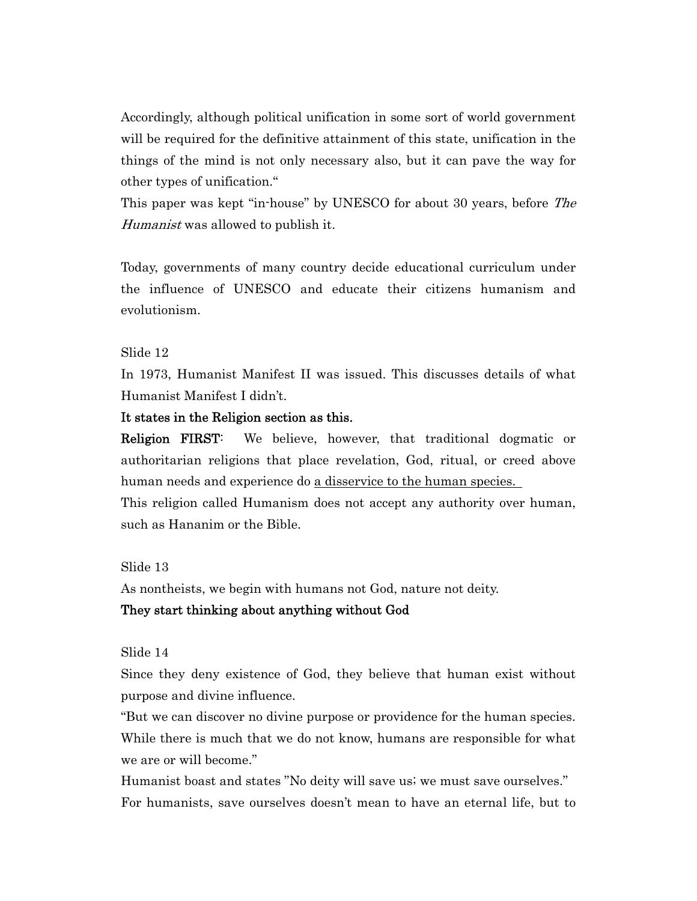Accordingly, although political unification in some sort of world government will be required for the definitive attainment of this state, unification in the things of the mind is not only necessary also, but it can pave the way for other types of unification."

This paper was kept "in-house" by UNESCO for about 30 years, before The Humanist was allowed to publish it.

Today, governments of many country decide educational curriculum under the influence of UNESCO and educate their citizens humanism and evolutionism.

# Slide 12

In 1973, Humanist Manifest II was issued. This discusses details of what Humanist Manifest I didn't.

### It states in the Religion section as this.

Religion FIRST: We believe, however, that traditional dogmatic or authoritarian religions that place revelation, God, ritual, or creed above human needs and experience do a disservice to the human species.

This religion called Humanism does not accept any authority over human, such as Hananim or the Bible.

Slide 13

As nontheists, we begin with humans not God, nature not deity.

### They start thinking about anything without God

Slide 14

Since they deny existence of God, they believe that human exist without purpose and divine influence.

"But we can discover no divine purpose or providence for the human species. While there is much that we do not know, humans are responsible for what we are or will become."

Humanist boast and states "No deity will save us; we must save ourselves." For humanists, save ourselves doesn't mean to have an eternal life, but to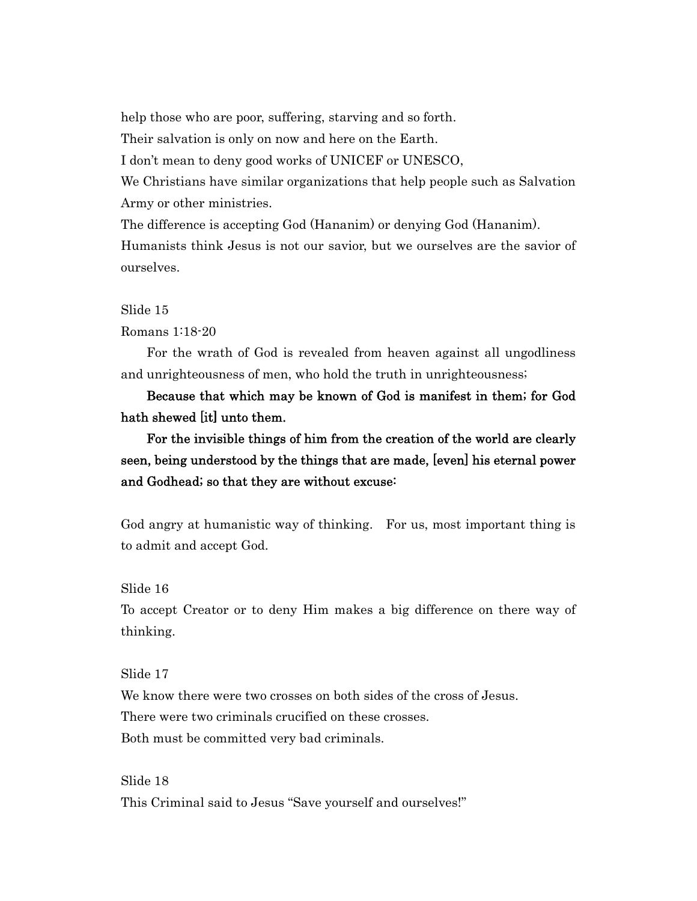help those who are poor, suffering, starving and so forth.

Their salvation is only on now and here on the Earth.

I don't mean to deny good works of UNICEF or UNESCO,

We Christians have similar organizations that help people such as Salvation Army or other ministries.

The difference is accepting God (Hananim) or denying God (Hananim).

Humanists think Jesus is not our savior, but we ourselves are the savior of ourselves.

#### Slide 15

#### Romans 1:18-20

 For the wrath of God is revealed from heaven against all ungodliness and unrighteousness of men, who hold the truth in unrighteousness;

 Because that which may be known of God is manifest in them; for God hath shewed [it] unto them.

 For the invisible things of him from the creation of the world are clearly seen, being understood by the things that are made, [even] his eternal power and Godhead; so that they are without excuse:

God angry at humanistic way of thinking. For us, most important thing is to admit and accept God.

# Slide 16

To accept Creator or to deny Him makes a big difference on there way of thinking.

#### Slide 17

We know there were two crosses on both sides of the cross of Jesus. There were two criminals crucified on these crosses. Both must be committed very bad criminals.

Slide 18 This Criminal said to Jesus "Save yourself and ourselves!"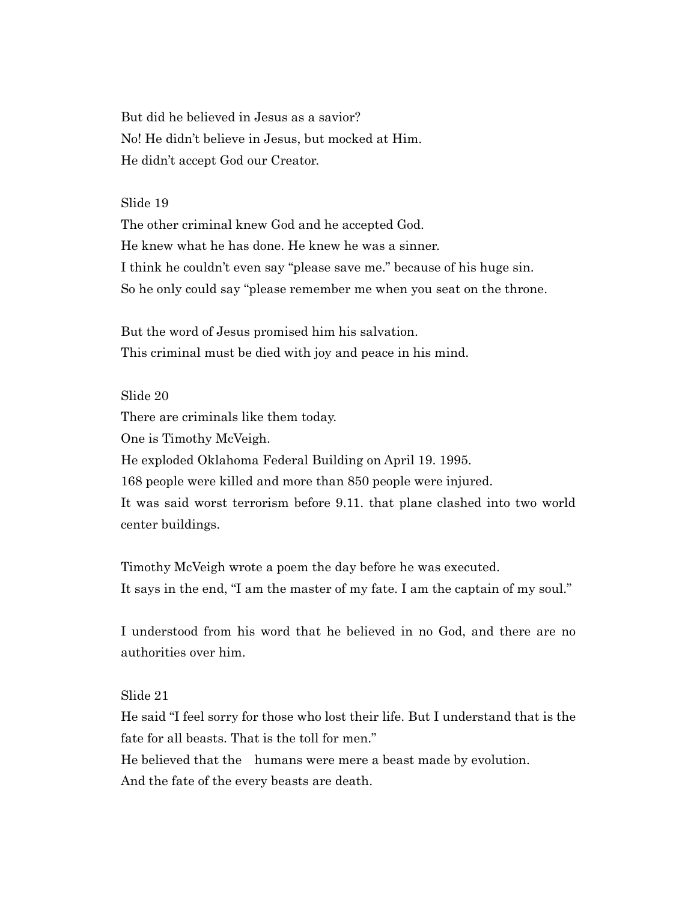But did he believed in Jesus as a savior? No! He didn't believe in Jesus, but mocked at Him. He didn't accept God our Creator.

#### Slide 19

The other criminal knew God and he accepted God. He knew what he has done. He knew he was a sinner. I think he couldn't even say "please save me." because of his huge sin. So he only could say "please remember me when you seat on the throne.

But the word of Jesus promised him his salvation. This criminal must be died with joy and peace in his mind.

Slide 20 There are criminals like them today. One is Timothy McVeigh. He exploded Oklahoma Federal Building on April 19. 1995. 168 people were killed and more than 850 people were injured. It was said worst terrorism before 9.11. that plane clashed into two world center buildings.

Timothy McVeigh wrote a poem the day before he was executed. It says in the end, "I am the master of my fate. I am the captain of my soul."

I understood from his word that he believed in no God, and there are no authorities over him.

# Slide 21

He said "I feel sorry for those who lost their life. But I understand that is the fate for all beasts. That is the toll for men."

He believed that the humans were mere a beast made by evolution. And the fate of the every beasts are death.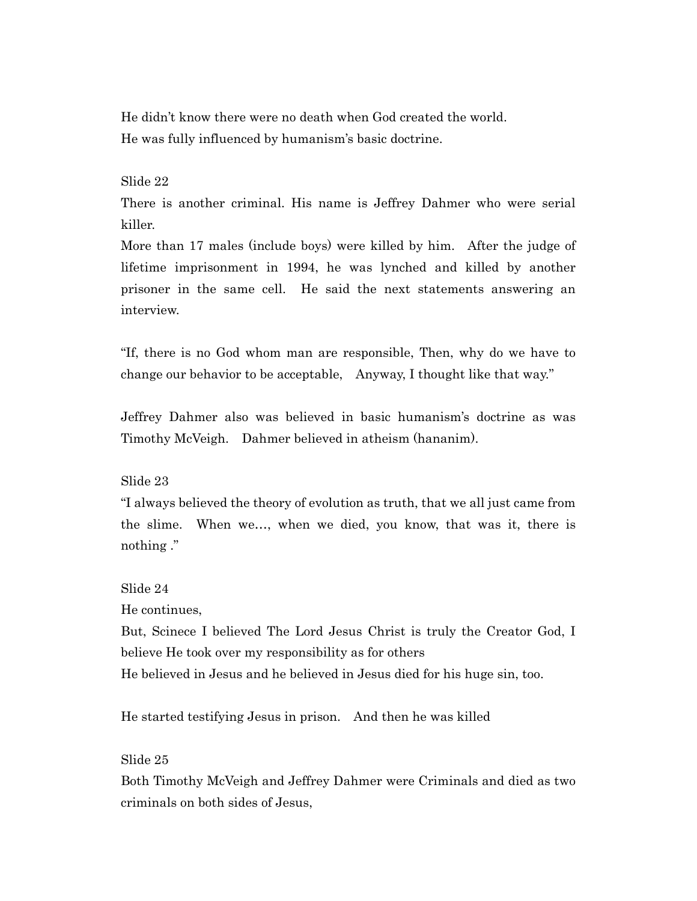He didn't know there were no death when God created the world. He was fully influenced by humanism's basic doctrine.

# Slide 22

There is another criminal. His name is Jeffrey Dahmer who were serial killer.

More than 17 males (include boys) were killed by him. After the judge of lifetime imprisonment in 1994, he was lynched and killed by another prisoner in the same cell. He said the next statements answering an interview.

"If, there is no God whom man are responsible, Then, why do we have to change our behavior to be acceptable, Anyway, I thought like that way."

Jeffrey Dahmer also was believed in basic humanism's doctrine as was Timothy McVeigh. Dahmer believed in atheism (hananim).

# Slide 23

"I always believed the theory of evolution as truth, that we all just came from the slime. When we…, when we died, you know, that was it, there is nothing ."

Slide 24

He continues,

But, Scinece I believed The Lord Jesus Christ is truly the Creator God, I believe He took over my responsibility as for others He believed in Jesus and he believed in Jesus died for his huge sin, too.

He started testifying Jesus in prison. And then he was killed

Slide 25

Both Timothy McVeigh and Jeffrey Dahmer were Criminals and died as two criminals on both sides of Jesus,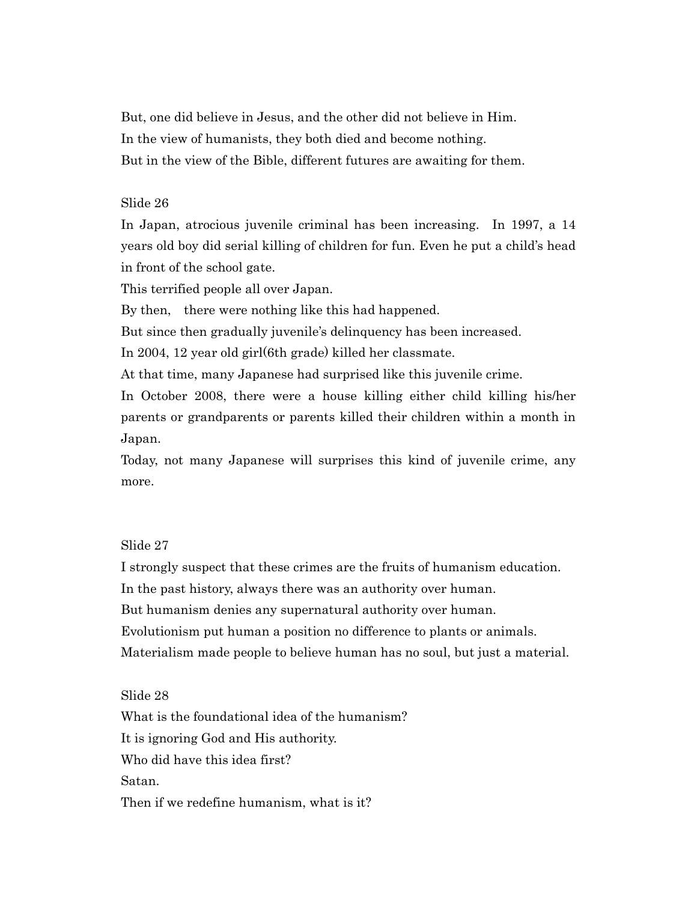But, one did believe in Jesus, and the other did not believe in Him. In the view of humanists, they both died and become nothing. But in the view of the Bible, different futures are awaiting for them.

## Slide 26

In Japan, atrocious juvenile criminal has been increasing. In 1997, a 14 years old boy did serial killing of children for fun. Even he put a child's head in front of the school gate.

This terrified people all over Japan.

By then, there were nothing like this had happened.

But since then gradually juvenile's delinquency has been increased.

In 2004, 12 year old girl(6th grade) killed her classmate.

At that time, many Japanese had surprised like this juvenile crime.

In October 2008, there were a house killing either child killing his/her parents or grandparents or parents killed their children within a month in Japan.

Today, not many Japanese will surprises this kind of juvenile crime, any more.

### Slide 27

I strongly suspect that these crimes are the fruits of humanism education.

In the past history, always there was an authority over human.

But humanism denies any supernatural authority over human.

Evolutionism put human a position no difference to plants or animals.

Materialism made people to believe human has no soul, but just a material.

### Slide 28

What is the foundational idea of the humanism? It is ignoring God and His authority. Who did have this idea first? Satan. Then if we redefine humanism, what is it?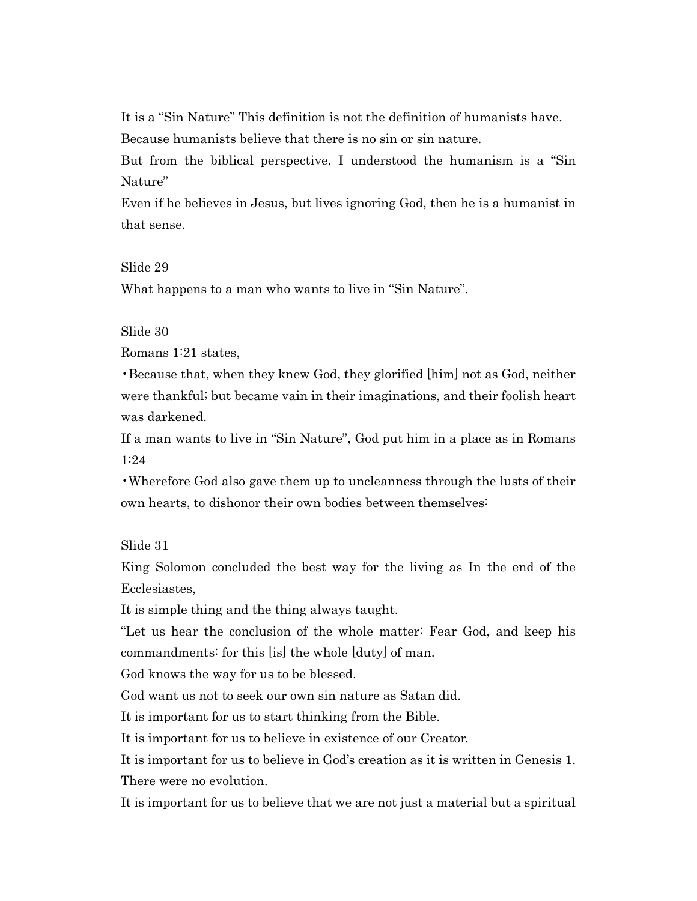It is a "Sin Nature" This definition is not the definition of humanists have. Because humanists believe that there is no sin or sin nature.

But from the biblical perspective, I understood the humanism is a "Sin Nature"

Even if he believes in Jesus, but lives ignoring God, then he is a humanist in that sense.

Slide 29

What happens to a man who wants to live in "Sin Nature".

Slide 30

Romans 1:21 states,

•Because that, when they knew God, they glorified [him] not as God, neither were thankful; but became vain in their imaginations, and their foolish heart was darkened.

If a man wants to live in "Sin Nature", God put him in a place as in Romans 1:24

•Wherefore God also gave them up to uncleanness through the lusts of their own hearts, to dishonor their own bodies between themselves:

Slide 31

King Solomon concluded the best way for the living as In the end of the Ecclesiastes,

It is simple thing and the thing always taught.

"Let us hear the conclusion of the whole matter: Fear God, and keep his commandments: for this [is] the whole [duty] of man.

God knows the way for us to be blessed.

God want us not to seek our own sin nature as Satan did.

It is important for us to start thinking from the Bible.

It is important for us to believe in existence of our Creator.

It is important for us to believe in God's creation as it is written in Genesis 1. There were no evolution.

It is important for us to believe that we are not just a material but a spiritual